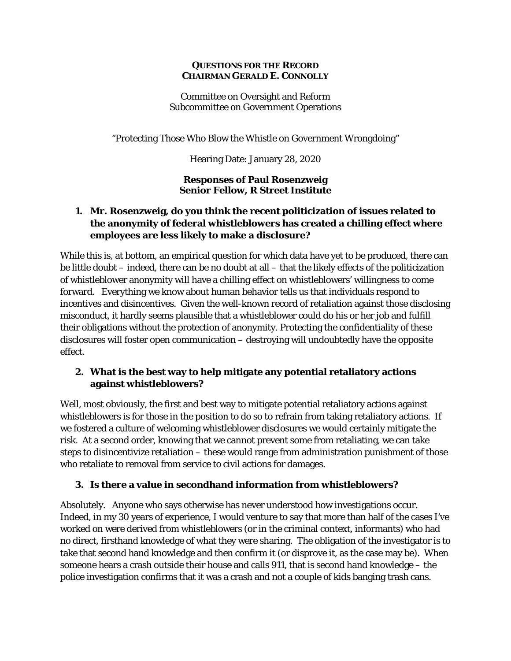#### **QUESTIONS FOR THE RECORD CHAIRMAN GERALD E. CONNOLLY**

Committee on Oversight and Reform Subcommittee on Government Operations

"Protecting Those Who Blow the Whistle on Government Wrongdoing"

Hearing Date: January 28, 2020

#### **Responses of Paul Rosenzweig Senior Fellow, R Street Institute**

## **1. Mr. Rosenzweig, do you think the recent politicization of issues related to the anonymity of federal whistleblowers has created a chilling effect where employees are less likely to make a disclosure?**

While this is, at bottom, an empirical question for which data have yet to be produced, there can be little doubt – indeed, there can be no doubt at all – that the likely effects of the politicization of whistleblower anonymity will have a chilling effect on whistleblowers' willingness to come forward. Everything we know about human behavior tells us that individuals respond to incentives and disincentives. Given the well-known record of retaliation against those disclosing misconduct, it hardly seems plausible that a whistleblower could do his or her job and fulfill their obligations without the protection of anonymity. Protecting the confidentiality of these disclosures will foster open communication – destroying will undoubtedly have the opposite effect.

## **2. What is the best way to help mitigate any potential retaliatory actions against whistleblowers?**

Well, most obviously, the first and best way to mitigate potential retaliatory actions against whistleblowers is for those in the position to do so to refrain from taking retaliatory actions. If we fostered a culture of welcoming whistleblower disclosures we would certainly mitigate the risk. At a second order, knowing that we cannot prevent some from retaliating, we can take steps to disincentivize retaliation – these would range from administration punishment of those who retaliate to removal from service to civil actions for damages.

## **3. Is there a value in secondhand information from whistleblowers?**

Absolutely. Anyone who says otherwise has never understood how investigations occur. Indeed, in my 30 years of experience, I would venture to say that more than half of the cases I've worked on were derived from whistleblowers (or in the criminal context, informants) who had no direct, firsthand knowledge of what they were sharing. The obligation of the investigator is to take that second hand knowledge and then confirm it (or disprove it, as the case may be). When someone hears a crash outside their house and calls 911, that is second hand knowledge – the police investigation confirms that it was a crash and not a couple of kids banging trash cans.